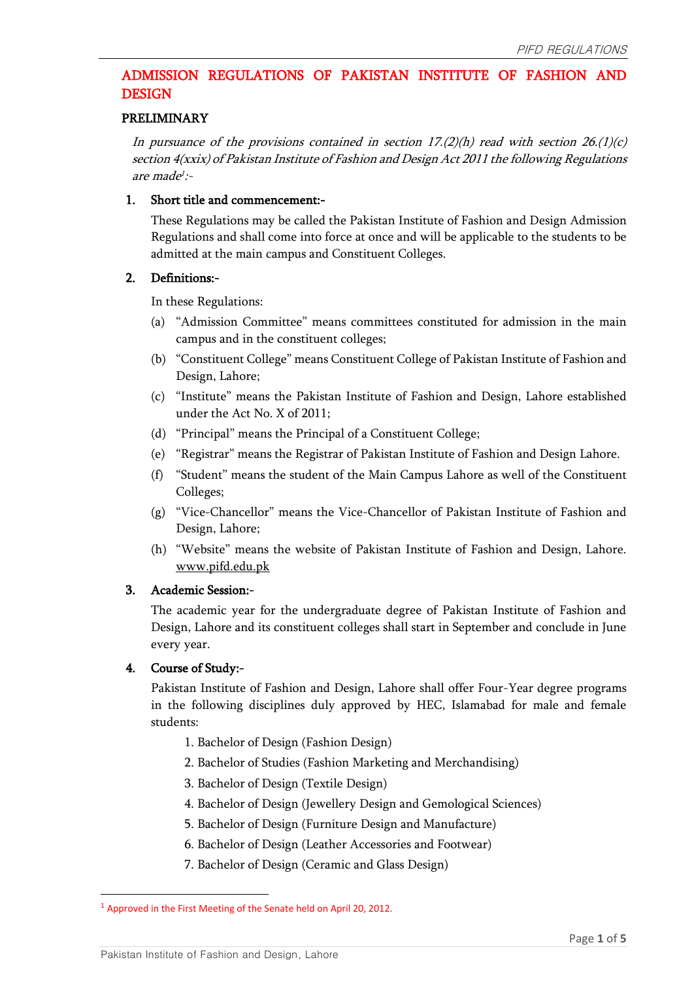# ADMISSION REGULATIONS OF PAKISTAN INSTITUTE OF FASHION AND DESIGN

### PRELIMINARY

In pursuance of the provisions contained in section  $17.(2)(h)$  read with section  $26.(1)(c)$ section 4(xxix) of Pakistan Institute of Fashion and Design Act 2011 the following Regulations are made 1 :-

### 1. Short title and commencement:-

These Regulations may be called the Pakistan Institute of Fashion and Design Admission Regulations and shall come into force at once and will be applicable to the students to be admitted at the main campus and Constituent Colleges.

### 2. Definitions:-

In these Regulations:

- (a) "Admission Committee" means committees constituted for admission in the main campus and in the constituent colleges;
- (b) "Constituent College" means Constituent College of Pakistan Institute of Fashion and Design, Lahore;
- (c) "Institute" means the Pakistan Institute of Fashion and Design, Lahore established under the Act No. X of 2011;
- (d) "Principal" means the Principal of a Constituent College;
- (e) "Registrar" means the Registrar of Pakistan Institute of Fashion and Design Lahore.
- (f) "Student" means the student of the Main Campus Lahore as well of the Constituent Colleges;
- (g) "Vice-Chancellor" means the Vice-Chancellor of Pakistan Institute of Fashion and Design, Lahore;
- (h) "Website" means the website of Pakistan Institute of Fashion and Design, Lahore. [www.pifd.edu.pk](http://www.pifd.edu.pk/)

# 3. Academic Session:-

The academic year for the undergraduate degree of Pakistan Institute of Fashion and Design, Lahore and its constituent colleges shall start in September and conclude in June every year.

# 4. Course of Study:-

 $\overline{\phantom{a}}$ 

Pakistan Institute of Fashion and Design, Lahore shall offer Four-Year degree programs in the following disciplines duly approved by HEC, Islamabad for male and female students:

- 1. Bachelor of Design (Fashion Design)
- 2. Bachelor of Studies (Fashion Marketing and Merchandising)
- 3. Bachelor of Design (Textile Design)
- 4. Bachelor of Design (Jewellery Design and Gemological Sciences)
- 5. Bachelor of Design (Furniture Design and Manufacture)
- 6. Bachelor of Design (Leather Accessories and Footwear)
- 7. Bachelor of Design (Ceramic and Glass Design)

<sup>&</sup>lt;sup>1</sup> Approved in the First Meeting of the Senate held on April 20, 2012.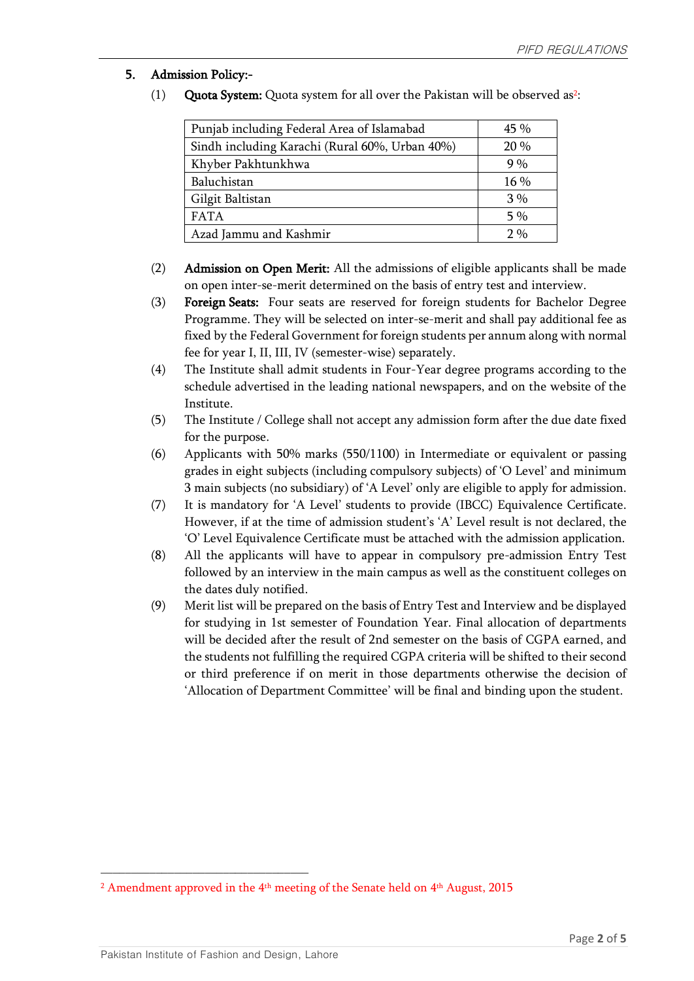# 5. Admission Policy:-

(1) **Quota System:** Quota system for all over the Pakistan will be observed as<sup>2</sup>:

| Punjab including Federal Area of Islamabad     | $45\%$ |
|------------------------------------------------|--------|
| Sindh including Karachi (Rural 60%, Urban 40%) | 20%    |
| Khyber Pakhtunkhwa                             | 9%     |
| Baluchistan                                    | $16\%$ |
| Gilgit Baltistan                               | 3%     |
| <b>FATA</b>                                    | $5\%$  |
| Azad Jammu and Kashmir                         | 2%     |

- (2) Admission on Open Merit: All the admissions of eligible applicants shall be made on open inter-se-merit determined on the basis of entry test and interview.
- (3) Foreign Seats: Four seats are reserved for foreign students for Bachelor Degree Programme. They will be selected on inter-se-merit and shall pay additional fee as fixed by the Federal Government for foreign students per annum along with normal fee for year I, II, III, IV (semester-wise) separately.
- (4) The Institute shall admit students in Four-Year degree programs according to the schedule advertised in the leading national newspapers, and on the website of the Institute.
- (5) The Institute / College shall not accept any admission form after the due date fixed for the purpose.
- (6) Applicants with 50% marks (550/1100) in Intermediate or equivalent or passing grades in eight subjects (including compulsory subjects) of 'O Level' and minimum 3 main subjects (no subsidiary) of 'A Level' only are eligible to apply for admission.
- (7) It is mandatory for 'A Level' students to provide (IBCC) Equivalence Certificate. However, if at the time of admission student's 'A' Level result is not declared, the 'O' Level Equivalence Certificate must be attached with the admission application.
- (8) All the applicants will have to appear in compulsory pre-admission Entry Test followed by an interview in the main campus as well as the constituent colleges on the dates duly notified.
- (9) Merit list will be prepared on the basis of Entry Test and Interview and be displayed for studying in 1st semester of Foundation Year. Final allocation of departments will be decided after the result of 2nd semester on the basis of CGPA earned, and the students not fulfilling the required CGPA criteria will be shifted to their second or third preference if on merit in those departments otherwise the decision of 'Allocation of Department Committee' will be final and binding upon the student.

\_\_\_\_\_\_\_\_\_\_\_\_\_\_\_\_\_\_\_\_\_\_\_\_\_\_\_\_\_\_\_\_\_\_

 $^{\rm 2}$  Amendment approved in the 4th meeting of the Senate held on 4th August, 2015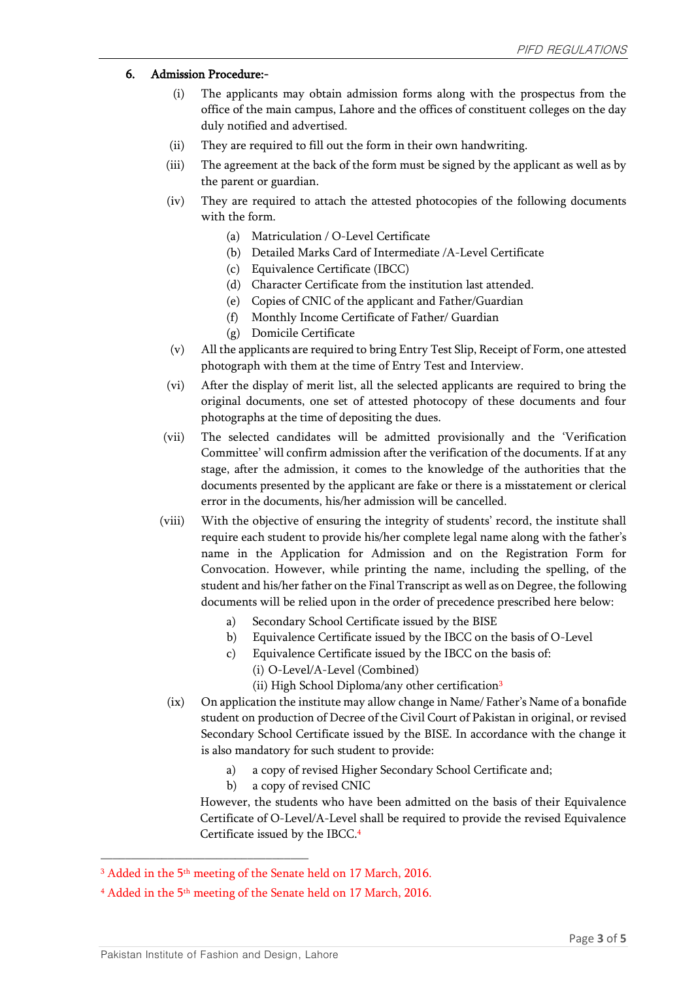### 6. Admission Procedure:-

- (i) The applicants may obtain admission forms along with the prospectus from the office of the main campus, Lahore and the offices of constituent colleges on the day duly notified and advertised.
- (ii) They are required to fill out the form in their own handwriting.
- (iii) The agreement at the back of the form must be signed by the applicant as well as by the parent or guardian.
- (iv) They are required to attach the attested photocopies of the following documents with the form.
	- (a) Matriculation / O-Level Certificate
	- (b) Detailed Marks Card of Intermediate /A-Level Certificate
	- (c) Equivalence Certificate (IBCC)
	- (d) Character Certificate from the institution last attended.
	- (e) Copies of CNIC of the applicant and Father/Guardian
	- (f) Monthly Income Certificate of Father/ Guardian
	- (g) Domicile Certificate
- (v) All the applicants are required to bring Entry Test Slip, Receipt of Form, one attested photograph with them at the time of Entry Test and Interview.
- (vi) After the display of merit list, all the selected applicants are required to bring the original documents, one set of attested photocopy of these documents and four photographs at the time of depositing the dues.
- (vii) The selected candidates will be admitted provisionally and the 'Verification Committee' will confirm admission after the verification of the documents. If at any stage, after the admission, it comes to the knowledge of the authorities that the documents presented by the applicant are fake or there is a misstatement or clerical error in the documents, his/her admission will be cancelled.
- (viii) With the objective of ensuring the integrity of students' record, the institute shall require each student to provide his/her complete legal name along with the father's name in the Application for Admission and on the Registration Form for Convocation. However, while printing the name, including the spelling, of the student and his/her father on the Final Transcript as well as on Degree, the following documents will be relied upon in the order of precedence prescribed here below:
	- a) Secondary School Certificate issued by the BISE
	- b) Equivalence Certificate issued by the IBCC on the basis of O-Level
	- c) Equivalence Certificate issued by the IBCC on the basis of:
		- (i) O-Level/A-Level (Combined)
		- (ii) High School Diploma/any other certification<sup>3</sup>
- (ix) On application the institute may allow change in Name/ Father's Name of a bonafide student on production of Decree of the Civil Court of Pakistan in original, or revised Secondary School Certificate issued by the BISE. In accordance with the change it is also mandatory for such student to provide:
	- a) a copy of revised Higher Secondary School Certificate and;
	- b) a copy of revised CNIC

However, the students who have been admitted on the basis of their Equivalence Certificate of O-Level/A-Level shall be required to provide the revised Equivalence Certificate issued by the IBCC. 4

 $\overline{\phantom{a}}$  , and the contract of the contract of the contract of  $\overline{\phantom{a}}$ 

 $^3$  Added in the 5<sup>th</sup> meeting of the Senate held on 17 March, 2016.

 $^4$  Added in the 5<sup>th</sup> meeting of the Senate held on 17 March, 2016.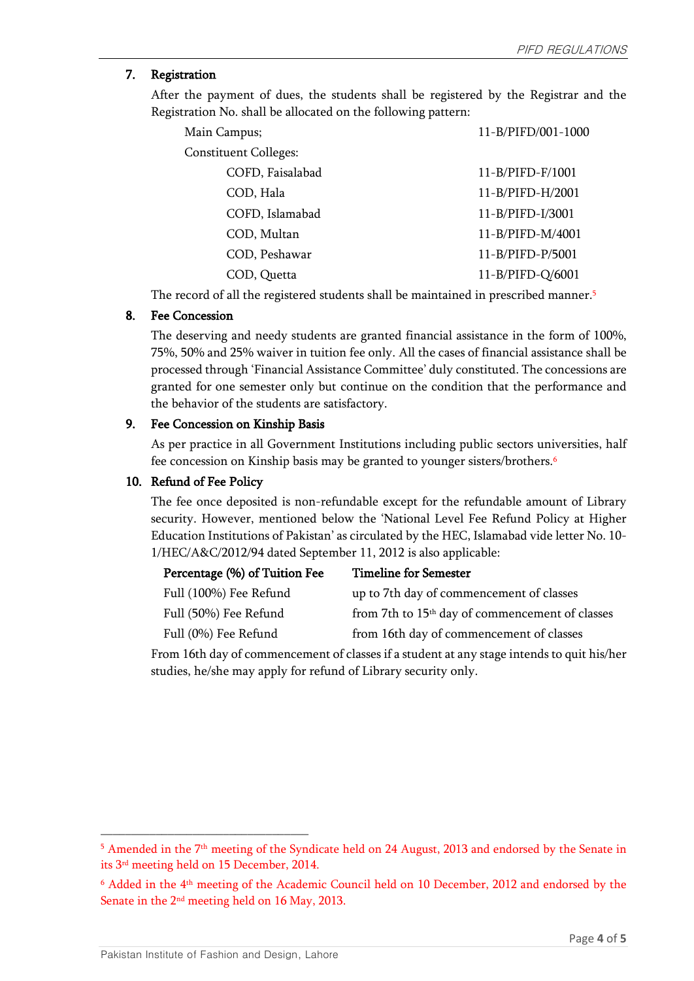# 7. Registration

After the payment of dues, the students shall be registered by the Registrar and the Registration No. shall be allocated on the following pattern:

| Main Campus;                 | 11-B/PIFD/001-1000 |
|------------------------------|--------------------|
| <b>Constituent Colleges:</b> |                    |
| COFD, Faisalabad             | 11-B/PIFD-F/1001   |
| COD, Hala                    | 11-B/PIFD-H/2001   |
| COFD, Islamabad              | 11-B/PIFD-I/3001   |
| COD, Multan                  | 11-B/PIFD-M/4001   |
| COD, Peshawar                | 11-B/PIFD-P/5001   |
| COD, Quetta                  | 11-B/PIFD-Q/6001   |

The record of all the registered students shall be maintained in prescribed manner.<sup>5</sup>

#### 8. Fee Concession

The deserving and needy students are granted financial assistance in the form of 100%, 75%, 50% and 25% waiver in tuition fee only. All the cases of financial assistance shall be processed through 'Financial Assistance Committee' duly constituted. The concessions are granted for one semester only but continue on the condition that the performance and the behavior of the students are satisfactory.

#### 9. Fee Concession on Kinship Basis

As per practice in all Government Institutions including public sectors universities, half fee concession on Kinship basis may be granted to younger sisters/brothers.<sup>6</sup>

#### 10. Refund of Fee Policy

The fee once deposited is non-refundable except for the refundable amount of Library security. However, mentioned below the 'National Level Fee Refund Policy at Higher Education Institutions of Pakistan' as circulated by the HEC, Islamabad vide letter No. 10- 1/HEC/A&C/2012/94 dated September 11, 2012 is also applicable:

| Percentage (%) of Tuition Fee | <b>Timeline for Semester</b>                                |
|-------------------------------|-------------------------------------------------------------|
| Full (100%) Fee Refund        | up to 7th day of commencement of classes                    |
| Full (50%) Fee Refund         | from 7th to 15 <sup>th</sup> day of commencement of classes |
| Full (0%) Fee Refund          | from 16th day of commencement of classes                    |
|                               |                                                             |

From 16th day of commencement of classes if a student at any stage intends to quit his/her studies, he/she may apply for refund of Library security only.

 $\overline{\phantom{a}}$  , and the contract of the contract of the contract of  $\overline{\phantom{a}}$ 

<sup>&</sup>lt;sup>5</sup> Amended in the 7<sup>th</sup> meeting of the Syndicate held on 24 August, 2013 and endorsed by the Senate in its 3rd meeting held on 15 December, 2014.

 $6$  Added in the  $4^{\text{th}}$  meeting of the Academic Council held on 10 December, 2012 and endorsed by the Senate in the 2nd meeting held on 16 May, 2013.